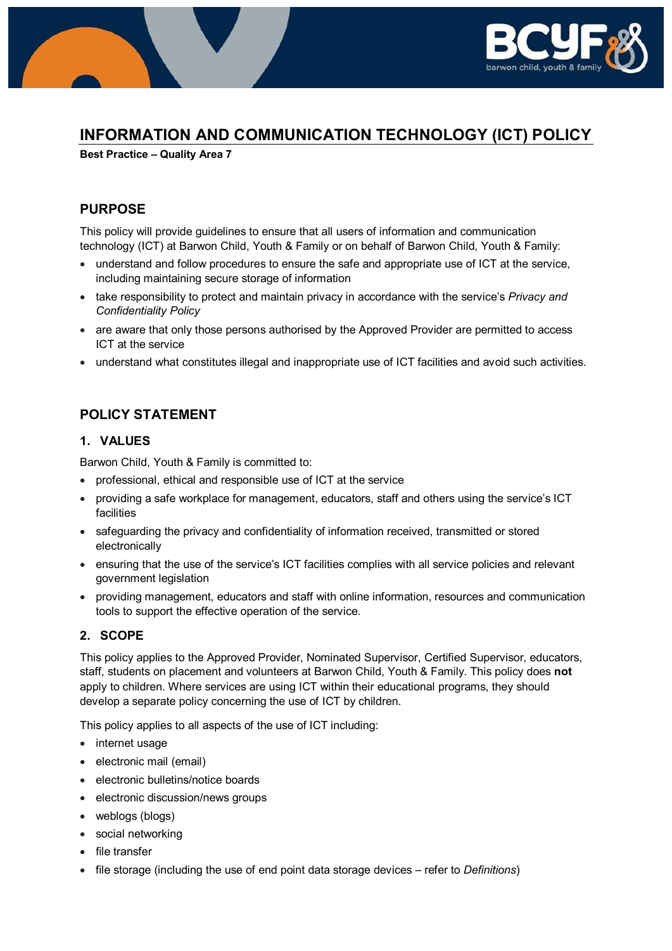

# **INFORMATION AND COMMUNICATION TECHNOLOGY (ICT) POLICY**

**Best Practice – Quality Area 7**

# **PURPOSE**

This policy will provide guidelines to ensure that all users of information and communication technology (ICT) at Barwon Child, Youth & Family or on behalf of Barwon Child, Youth & Family:

- understand and follow procedures to ensure the safe and appropriate use of ICT at the service, including maintaining secure storage of information
- take responsibility to protect and maintain privacy in accordance with the service's *Privacy and Confidentiality Policy*
- are aware that only those persons authorised by the Approved Provider are permitted to access ICT at the service
- understand what constitutes illegal and inappropriate use of ICT facilities and avoid such activities.

# **POLICY STATEMENT**

## **1. VALUES**

Barwon Child, Youth & Family is committed to:

- professional, ethical and responsible use of ICT at the service
- providing a safe workplace for management, educators, staff and others using the service's ICT facilities
- safeguarding the privacy and confidentiality of information received, transmitted or stored electronically
- ensuring that the use of the service's ICT facilities complies with all service policies and relevant government legislation
- providing management, educators and staff with online information, resources and communication tools to support the effective operation of the service.

# **2. SCOPE**

This policy applies to the Approved Provider, Nominated Supervisor, Certified Supervisor, educators, staff, students on placement and volunteers at Barwon Child, Youth & Family. This policy does **not** apply to children. Where services are using ICT within their educational programs, they should develop a separate policy concerning the use of ICT by children.

This policy applies to all aspects of the use of ICT including:

- internet usage
- electronic mail (email)
- electronic bulletins/notice boards
- electronic discussion/news groups
- weblogs (blogs)
- social networking
- file transfer
- file storage (including the use of end point data storage devices refer to *Definitions*)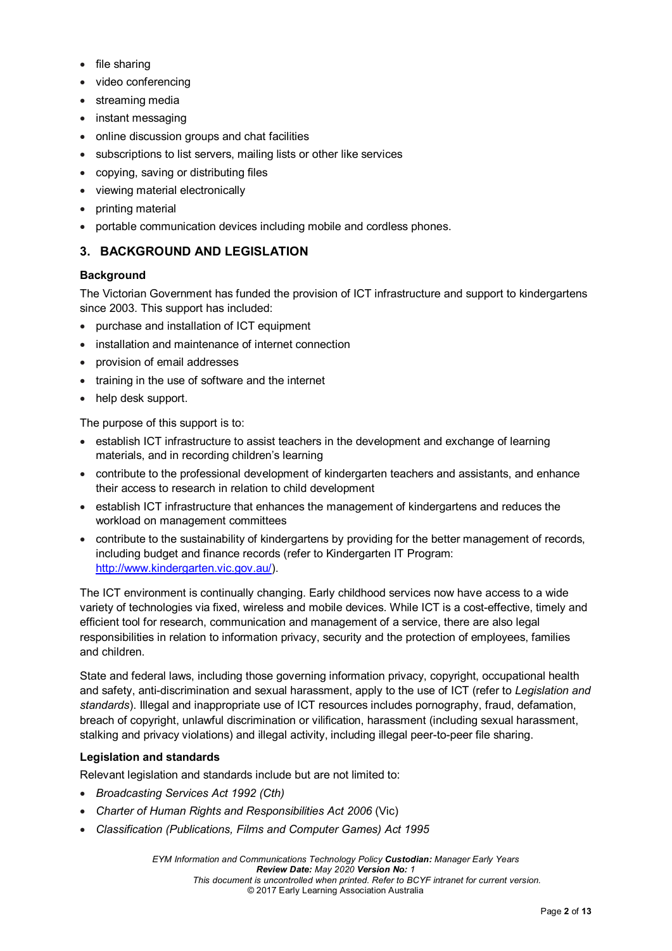- file sharing
- video conferencing
- streaming media
- instant messaging
- online discussion groups and chat facilities
- subscriptions to list servers, mailing lists or other like services
- copying, saving or distributing files
- viewing material electronically
- printing material
- portable communication devices including mobile and cordless phones.

## **3. BACKGROUND AND LEGISLATION**

### **Background**

The Victorian Government has funded the provision of ICT infrastructure and support to kindergartens since 2003. This support has included:

- purchase and installation of ICT equipment
- installation and maintenance of internet connection
- provision of email addresses
- training in the use of software and the internet
- help desk support.

The purpose of this support is to:

- establish ICT infrastructure to assist teachers in the development and exchange of learning materials, and in recording children's learning
- contribute to the professional development of kindergarten teachers and assistants, and enhance their access to research in relation to child development
- establish ICT infrastructure that enhances the management of kindergartens and reduces the workload on management committees
- contribute to the sustainability of kindergartens by providing for the better management of records, including budget and finance records (refer to Kindergarten IT Program: [http://www.kindergarten.vic.gov.au/\)](http://www.kindergarten.vic.gov.au/).

The ICT environment is continually changing. Early childhood services now have access to a wide variety of technologies via fixed, wireless and mobile devices. While ICT is a cost-effective, timely and efficient tool for research, communication and management of a service, there are also legal responsibilities in relation to information privacy, security and the protection of employees, families and children.

State and federal laws, including those governing information privacy, copyright, occupational health and safety, anti-discrimination and sexual harassment, apply to the use of ICT (refer to *Legislation and standards*). Illegal and inappropriate use of ICT resources includes pornography, fraud, defamation, breach of copyright, unlawful discrimination or vilification, harassment (including sexual harassment, stalking and privacy violations) and illegal activity, including illegal peer-to-peer file sharing.

### **Legislation and standards**

Relevant legislation and standards include but are not limited to:

- *Broadcasting Services Act 1992 (Cth)*
- *Charter of Human Rights and Responsibilities Act 2006* (Vic)
- *Classification (Publications, Films and Computer Games) Act 1995*

*EYM Information and Communications Technology Policy Custodian: Manager Early Years Review Date: May 2020 Version No: 1 This document is uncontrolled when printed. Refer to BCYF intranet for current version.* © 2017 Early Learning Association Australia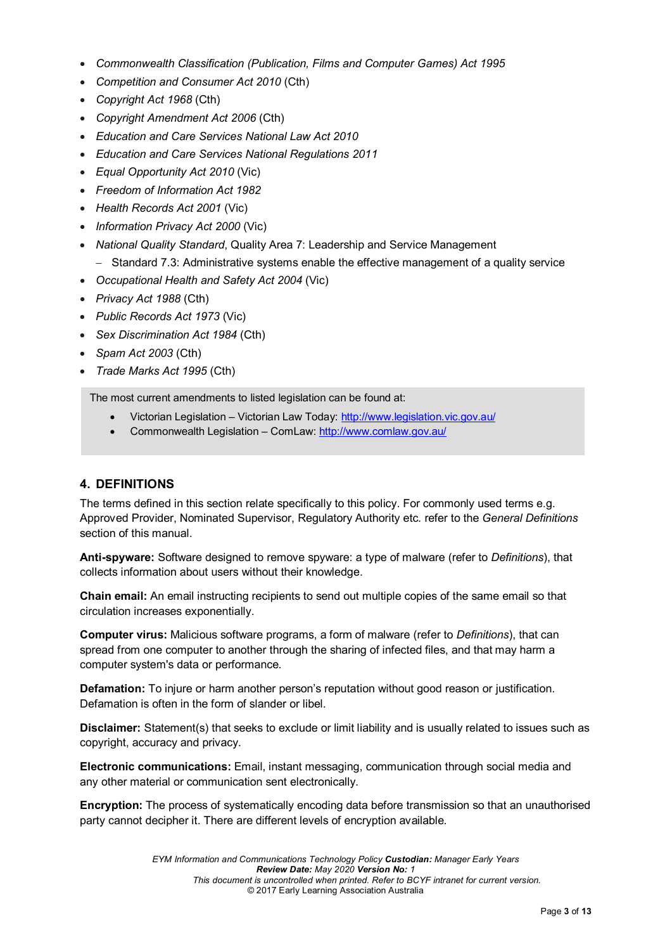- *Commonwealth Classification (Publication, Films and Computer Games) Act 1995*
- *Competition and Consumer Act 2010* (Cth)
- *Copyright Act 1968* (Cth)
- *Copyright Amendment Act 2006* (Cth)
- *Education and Care Services National Law Act 2010*
- *Education and Care Services National Regulations 2011*
- *Equal Opportunity Act 2010* (Vic)
- *Freedom of Information Act 1982*
- *Health Records Act 2001* (Vic)
- *Information Privacy Act 2000* (Vic)
- *National Quality Standard*, Quality Area 7: Leadership and Service Management
	- − Standard 7.3: Administrative systems enable the effective management of a quality service
- *Occupational Health and Safety Act 2004* (Vic)
- *Privacy Act 1988* (Cth)
- *Public Records Act 1973* (Vic)
- *Sex Discrimination Act 1984* (Cth)
- *Spam Act 2003* (Cth)
- *Trade Marks Act 1995* (Cth)

The most current amendments to listed legislation can be found at:

- Victorian Legislation Victorian Law Today:<http://www.legislation.vic.gov.au/>
- Commonwealth Legislation ComLaw:<http://www.comlaw.gov.au/>

# **4. DEFINITIONS**

The terms defined in this section relate specifically to this policy. For commonly used terms e.g. Approved Provider, Nominated Supervisor, Regulatory Authority etc. refer to the *General Definitions* section of this manual.

**Anti-spyware:** Software designed to remove spyware: a type of malware (refer to *Definitions*), that collects information about users without their knowledge.

**Chain email:** An email instructing recipients to send out multiple copies of the same email so that circulation increases exponentially.

**Computer virus:** Malicious software programs, a form of malware (refer to *Definitions*), that can spread from one computer to another through the sharing of infected files, and that may harm a computer system's data or performance.

**Defamation:** To injure or harm another person's reputation without good reason or justification. Defamation is often in the form of slander or libel.

**Disclaimer:** Statement(s) that seeks to exclude or limit liability and is usually related to issues such as copyright, accuracy and privacy.

**Electronic communications:** Email, instant messaging, communication through social media and any other material or communication sent electronically.

**Encryption:** The process of systematically encoding data before transmission so that an unauthorised party cannot decipher it. There are different levels of encryption available.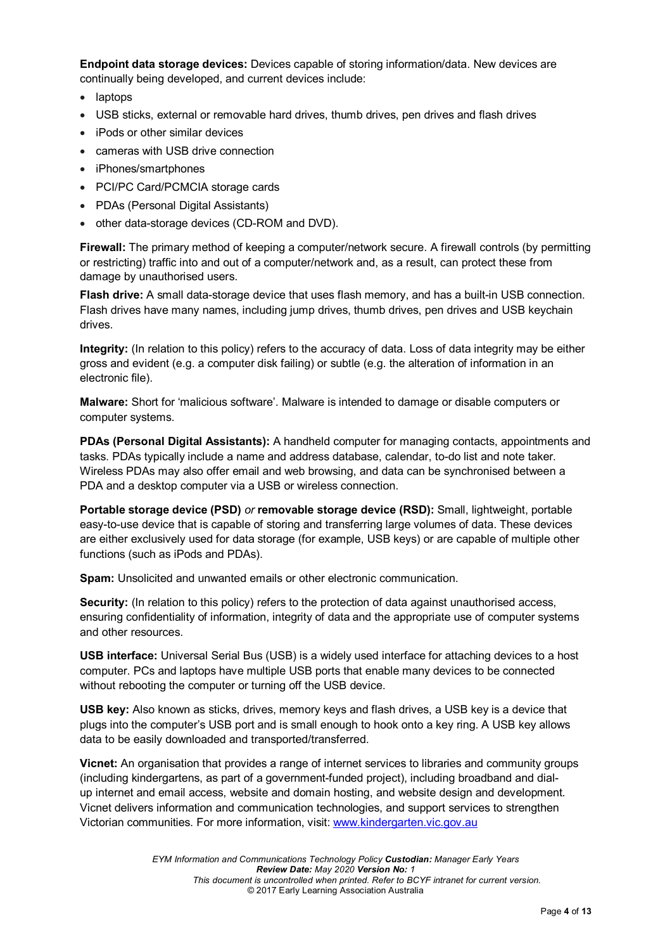**Endpoint data storage devices:** Devices capable of storing information/data. New devices are continually being developed, and current devices include:

- laptops
- USB sticks, external or removable hard drives, thumb drives, pen drives and flash drives
- iPods or other similar devices
- cameras with USB drive connection
- iPhones/smartphones
- PCI/PC Card/PCMCIA storage cards
- PDAs (Personal Digital Assistants)
- other data-storage devices (CD-ROM and DVD).

**Firewall:** The primary method of keeping a computer/network secure. A firewall controls (by permitting or restricting) traffic into and out of a computer/network and, as a result, can protect these from damage by unauthorised users.

**Flash drive:** A small data-storage device that uses flash memory, and has a built-in USB connection. Flash drives have many names, including jump drives, thumb drives, pen drives and USB keychain drives.

**Integrity:** (In relation to this policy) refers to the accuracy of data. Loss of data integrity may be either gross and evident (e.g. a computer disk failing) or subtle (e.g. the alteration of information in an electronic file).

**Malware:** Short for 'malicious software'. Malware is intended to damage or disable computers or computer systems.

**PDAs (Personal Digital Assistants):** A handheld computer for managing contacts, appointments and tasks. PDAs typically include a name and address database, calendar, to-do list and note taker. Wireless PDAs may also offer email and web browsing, and data can be synchronised between a PDA and a desktop computer via a USB or wireless connection.

**Portable storage device (PSD)** *or* **removable storage device (RSD):** Small, lightweight, portable easy-to-use device that is capable of storing and transferring large volumes of data. These devices are either exclusively used for data storage (for example, USB keys) or are capable of multiple other functions (such as iPods and PDAs).

**Spam:** Unsolicited and unwanted emails or other electronic communication.

**Security:** (In relation to this policy) refers to the protection of data against unauthorised access, ensuring confidentiality of information, integrity of data and the appropriate use of computer systems and other resources.

**USB interface:** Universal Serial Bus (USB) is a widely used interface for attaching devices to a host computer. PCs and laptops have multiple USB ports that enable many devices to be connected without rebooting the computer or turning off the USB device.

**USB key:** Also known as sticks, drives, memory keys and flash drives, a USB key is a device that plugs into the computer's USB port and is small enough to hook onto a key ring. A USB key allows data to be easily downloaded and transported/transferred.

**Vicnet:** An organisation that provides a range of internet services to libraries and community groups (including kindergartens, as part of a government-funded project), including broadband and dialup internet and email access, website and domain hosting, and website design and development. Vicnet delivers information and communication technologies, and support services to strengthen Victorian communities. For more information, visit: [www.kindergarten.vic.gov.au](http://www.kindergarten.vic.gov.au/)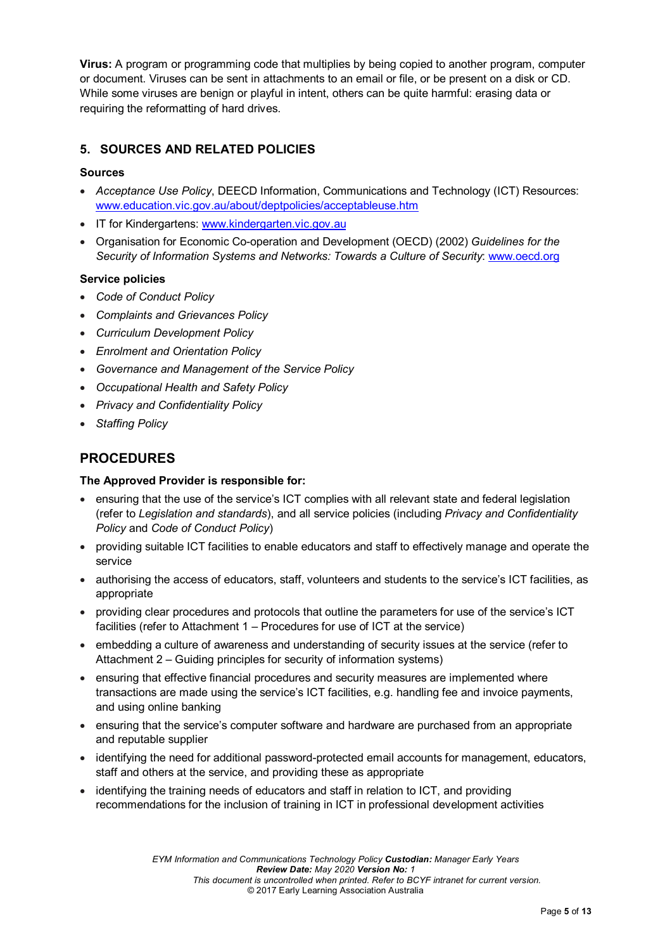**Virus:** A program or programming code that multiplies by being copied to another program, computer or document. Viruses can be sent in attachments to an email or file, or be present on a disk or CD. While some viruses are benign or playful in intent, others can be quite harmful: erasing data or requiring the reformatting of hard drives.

## **5. SOURCES AND RELATED POLICIES**

### **Sources**

- *Acceptance Use Policy*, DEECD Information, Communications and Technology (ICT) Resources: [www.education.vic.gov.au/about/deptpolicies/acceptableuse.htm](http://www.education.vic.gov.au/about/deptpolicies/acceptableuse.htm)
- IT for Kindergartens: [www.kindergarten.vic.gov.au](http://www.kindergarten.vic.gov.au/)
- Organisation for Economic Co-operation and Development (OECD) (2002) *Guidelines for the Security of Information Systems and Networks: Towards a Culture of Security*: [www.oecd.org](http://www.oecd.org/)

#### **Service policies**

- *Code of Conduct Policy*
- *Complaints and Grievances Policy*
- *Curriculum Development Policy*
- *Enrolment and Orientation Policy*
- *Governance and Management of the Service Policy*
- *Occupational Health and Safety Policy*
- *Privacy and Confidentiality Policy*
- *Staffing Policy*

## **PROCEDURES**

#### **The Approved Provider is responsible for:**

- ensuring that the use of the service's ICT complies with all relevant state and federal legislation (refer to *Legislation and standards*), and all service policies (including *Privacy and Confidentiality Policy* and *Code of Conduct Policy*)
- providing suitable ICT facilities to enable educators and staff to effectively manage and operate the service
- authorising the access of educators, staff, volunteers and students to the service's ICT facilities, as appropriate
- providing clear procedures and protocols that outline the parameters for use of the service's ICT facilities (refer to Attachment 1 – Procedures for use of ICT at the service)
- embedding a culture of awareness and understanding of security issues at the service (refer to Attachment 2 – Guiding principles for security of information systems)
- ensuring that effective financial procedures and security measures are implemented where transactions are made using the service's ICT facilities, e.g. handling fee and invoice payments, and using online banking
- ensuring that the service's computer software and hardware are purchased from an appropriate and reputable supplier
- identifying the need for additional password-protected email accounts for management, educators, staff and others at the service, and providing these as appropriate
- identifying the training needs of educators and staff in relation to ICT, and providing recommendations for the inclusion of training in ICT in professional development activities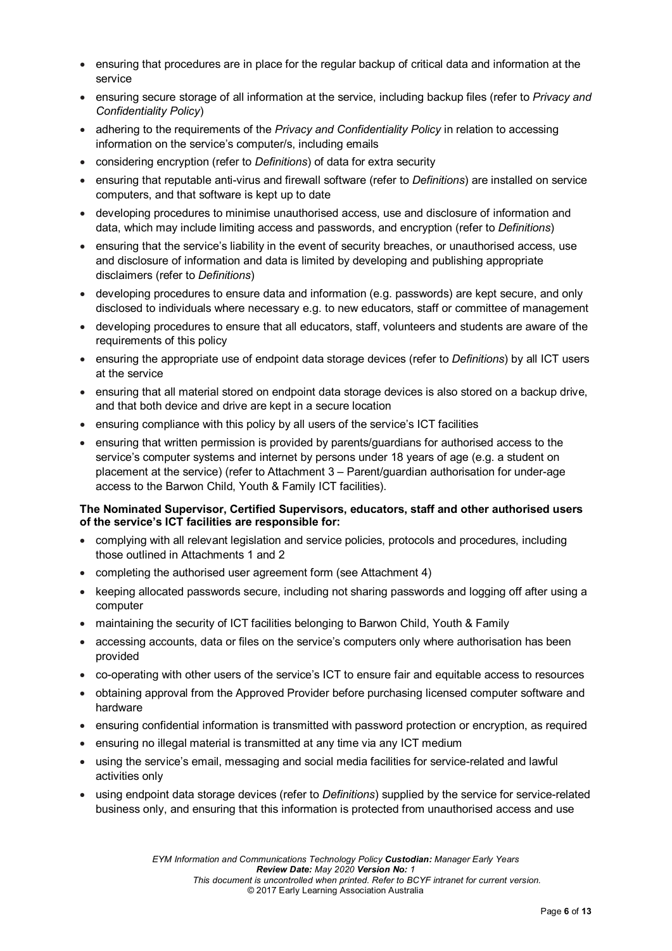- ensuring that procedures are in place for the regular backup of critical data and information at the service
- ensuring secure storage of all information at the service, including backup files (refer to *Privacy and Confidentiality Policy*)
- adhering to the requirements of the *Privacy and Confidentiality Policy* in relation to accessing information on the service's computer/s, including emails
- considering encryption (refer to *Definitions*) of data for extra security
- ensuring that reputable anti-virus and firewall software (refer to *Definitions*) are installed on service computers, and that software is kept up to date
- developing procedures to minimise unauthorised access, use and disclosure of information and data, which may include limiting access and passwords, and encryption (refer to *Definitions*)
- ensuring that the service's liability in the event of security breaches, or unauthorised access, use and disclosure of information and data is limited by developing and publishing appropriate disclaimers (refer to *Definitions*)
- developing procedures to ensure data and information (e.g. passwords) are kept secure, and only disclosed to individuals where necessary e.g. to new educators, staff or committee of management
- developing procedures to ensure that all educators, staff, volunteers and students are aware of the requirements of this policy
- ensuring the appropriate use of endpoint data storage devices (refer to *Definitions*) by all ICT users at the service
- ensuring that all material stored on endpoint data storage devices is also stored on a backup drive, and that both device and drive are kept in a secure location
- ensuring compliance with this policy by all users of the service's ICT facilities
- ensuring that written permission is provided by parents/guardians for authorised access to the service's computer systems and internet by persons under 18 years of age (e.g. a student on placement at the service) (refer to Attachment 3 – Parent/guardian authorisation for under-age access to the Barwon Child, Youth & Family ICT facilities).

#### **The Nominated Supervisor, Certified Supervisors, educators, staff and other authorised users of the service's ICT facilities are responsible for:**

- complying with all relevant legislation and service policies, protocols and procedures, including those outlined in Attachments 1 and 2
- completing the authorised user agreement form (see Attachment 4)
- keeping allocated passwords secure, including not sharing passwords and logging off after using a computer
- maintaining the security of ICT facilities belonging to Barwon Child, Youth & Family
- accessing accounts, data or files on the service's computers only where authorisation has been provided
- co-operating with other users of the service's ICT to ensure fair and equitable access to resources
- obtaining approval from the Approved Provider before purchasing licensed computer software and hardware
- ensuring confidential information is transmitted with password protection or encryption, as required
- ensuring no illegal material is transmitted at any time via any ICT medium
- using the service's email, messaging and social media facilities for service-related and lawful activities only
- using endpoint data storage devices (refer to *Definitions*) supplied by the service for service-related business only, and ensuring that this information is protected from unauthorised access and use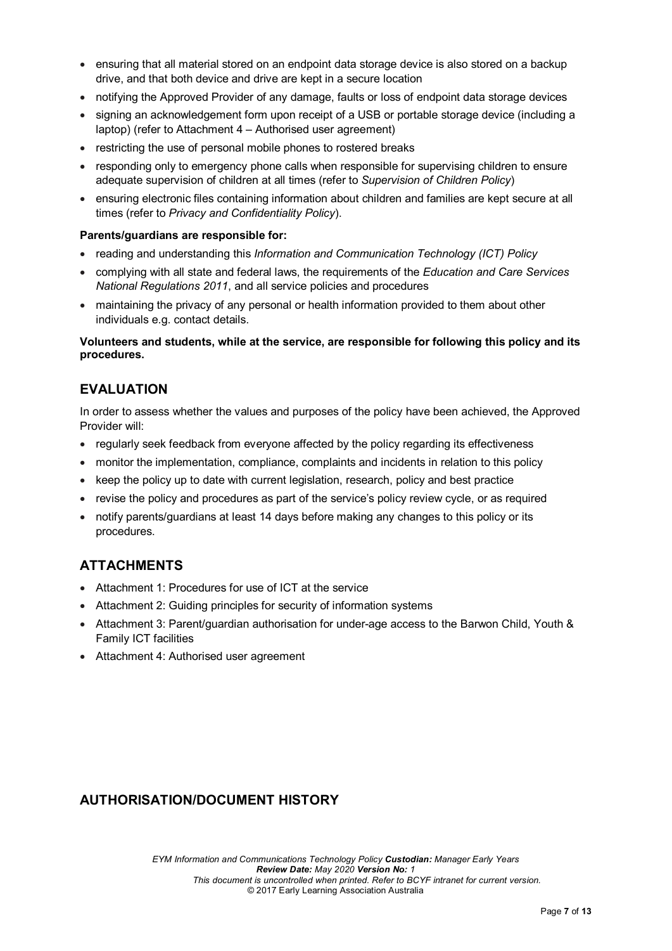- ensuring that all material stored on an endpoint data storage device is also stored on a backup drive, and that both device and drive are kept in a secure location
- notifying the Approved Provider of any damage, faults or loss of endpoint data storage devices
- signing an acknowledgement form upon receipt of a USB or portable storage device (including a laptop) (refer to Attachment 4 – Authorised user agreement)
- restricting the use of personal mobile phones to rostered breaks
- responding only to emergency phone calls when responsible for supervising children to ensure adequate supervision of children at all times (refer to *Supervision of Children Policy*)
- ensuring electronic files containing information about children and families are kept secure at all times (refer to *Privacy and Confidentiality Policy*).

#### **Parents/guardians are responsible for:**

- reading and understanding this *Information and Communication Technology (ICT) Policy*
- complying with all state and federal laws, the requirements of the *Education and Care Services National Regulations 2011*, and all service policies and procedures
- maintaining the privacy of any personal or health information provided to them about other individuals e.g. contact details.

#### **Volunteers and students, while at the service, are responsible for following this policy and its procedures.**

## **EVALUATION**

In order to assess whether the values and purposes of the policy have been achieved, the Approved Provider will:

- regularly seek feedback from everyone affected by the policy regarding its effectiveness
- monitor the implementation, compliance, complaints and incidents in relation to this policy
- keep the policy up to date with current legislation, research, policy and best practice
- revise the policy and procedures as part of the service's policy review cycle, or as required
- notify parents/guardians at least 14 days before making any changes to this policy or its procedures.

# **ATTACHMENTS**

- Attachment 1: Procedures for use of ICT at the service
- Attachment 2: Guiding principles for security of information systems
- Attachment 3: Parent/guardian authorisation for under-age access to the Barwon Child, Youth & Family ICT facilities
- Attachment 4: Authorised user agreement

# **AUTHORISATION/DOCUMENT HISTORY**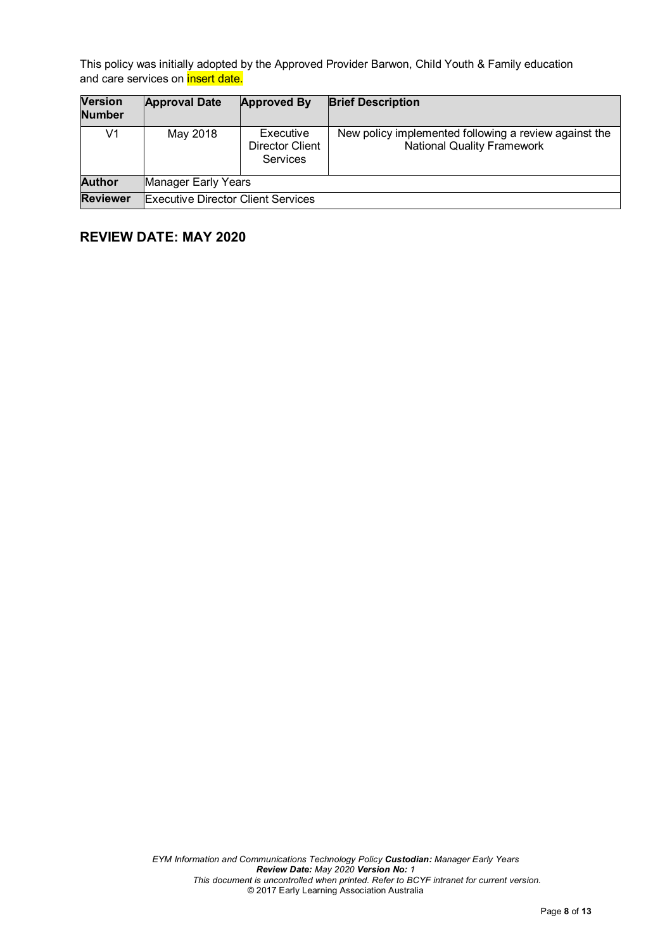This policy was initially adopted by the Approved Provider Barwon, Child Youth & Family education and care services on **insert date.** 

| <b>Version</b><br><b>Number</b> | <b>Approval Date</b>                      | <b>Approved By</b>                       | <b>Brief Description</b>                                                                   |  |  |
|---------------------------------|-------------------------------------------|------------------------------------------|--------------------------------------------------------------------------------------------|--|--|
| V1                              | May 2018                                  | Executive<br>Director Client<br>Services | New policy implemented following a review against the<br><b>National Quality Framework</b> |  |  |
| <b>Author</b>                   | Manager Early Years                       |                                          |                                                                                            |  |  |
| <b>Reviewer</b>                 | <b>Executive Director Client Services</b> |                                          |                                                                                            |  |  |

# **REVIEW DATE: MAY 2020**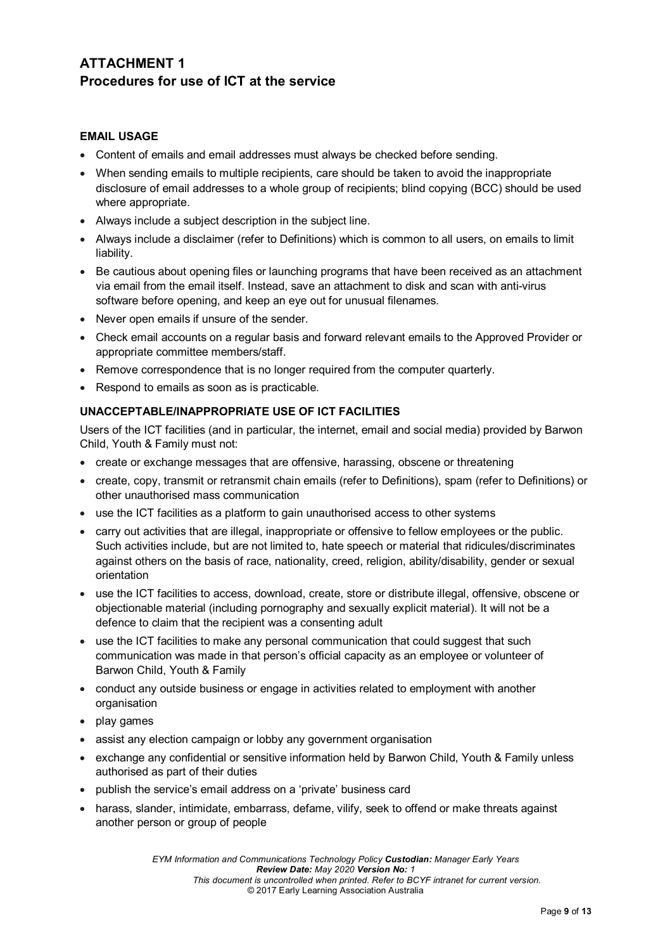# **ATTACHMENT 1 Procedures for use of ICT at the service**

### **EMAIL USAGE**

- Content of emails and email addresses must always be checked before sending.
- When sending emails to multiple recipients, care should be taken to avoid the inappropriate disclosure of email addresses to a whole group of recipients; blind copying (BCC) should be used where appropriate.
- Always include a subject description in the subject line.
- Always include a disclaimer (refer to Definitions) which is common to all users, on emails to limit liability.
- Be cautious about opening files or launching programs that have been received as an attachment via email from the email itself. Instead, save an attachment to disk and scan with anti-virus software before opening, and keep an eye out for unusual filenames.
- Never open emails if unsure of the sender.
- Check email accounts on a regular basis and forward relevant emails to the Approved Provider or appropriate committee members/staff.
- Remove correspondence that is no longer required from the computer quarterly.
- Respond to emails as soon as is practicable.

### **UNACCEPTABLE/INAPPROPRIATE USE OF ICT FACILITIES**

Users of the ICT facilities (and in particular, the internet, email and social media) provided by Barwon Child, Youth & Family must not:

- create or exchange messages that are offensive, harassing, obscene or threatening
- create, copy, transmit or retransmit chain emails (refer to Definitions), spam (refer to Definitions) or other unauthorised mass communication
- use the ICT facilities as a platform to gain unauthorised access to other systems
- carry out activities that are illegal, inappropriate or offensive to fellow employees or the public. Such activities include, but are not limited to, hate speech or material that ridicules/discriminates against others on the basis of race, nationality, creed, religion, ability/disability, gender or sexual orientation
- use the ICT facilities to access, download, create, store or distribute illegal, offensive, obscene or objectionable material (including pornography and sexually explicit material). It will not be a defence to claim that the recipient was a consenting adult
- use the ICT facilities to make any personal communication that could suggest that such communication was made in that person's official capacity as an employee or volunteer of Barwon Child, Youth & Family
- conduct any outside business or engage in activities related to employment with another organisation
- play games
- assist any election campaign or lobby any government organisation
- exchange any confidential or sensitive information held by Barwon Child, Youth & Family unless authorised as part of their duties
- publish the service's email address on a 'private' business card
- harass, slander, intimidate, embarrass, defame, vilify, seek to offend or make threats against another person or group of people

*EYM Information and Communications Technology Policy Custodian: Manager Early Years Review Date: May 2020 Version No: 1 This document is uncontrolled when printed. Refer to BCYF intranet for current version.* © 2017 Early Learning Association Australia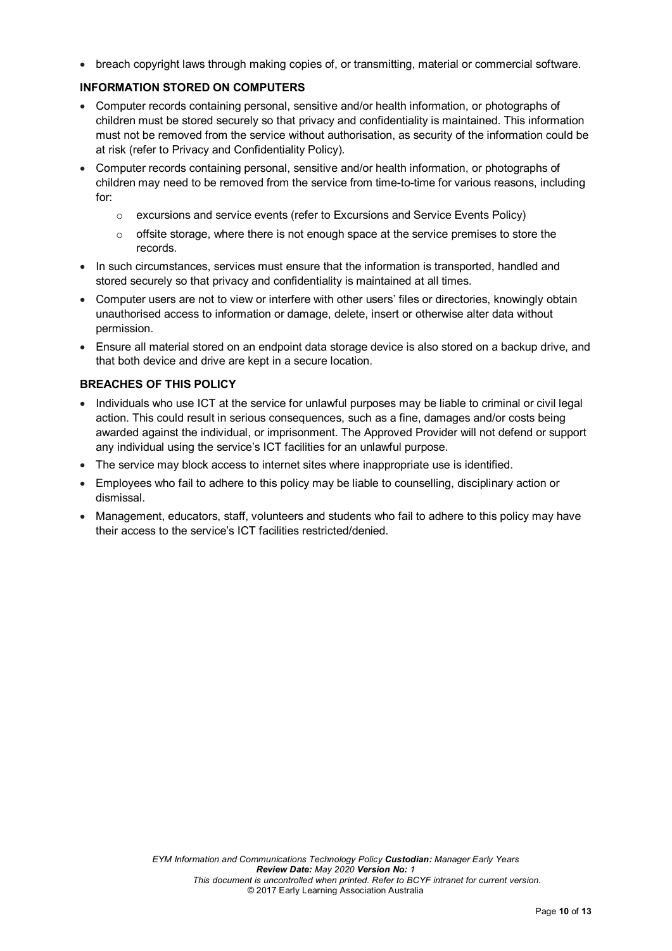• breach copyright laws through making copies of, or transmitting, material or commercial software.

## **INFORMATION STORED ON COMPUTERS**

- Computer records containing personal, sensitive and/or health information, or photographs of children must be stored securely so that privacy and confidentiality is maintained. This information must not be removed from the service without authorisation, as security of the information could be at risk (refer to Privacy and Confidentiality Policy).
- Computer records containing personal, sensitive and/or health information, or photographs of children may need to be removed from the service from time-to-time for various reasons, including for:
	- $\circ$  excursions and service events (refer to Excursions and Service Events Policy)
	- $\circ$  offsite storage, where there is not enough space at the service premises to store the records.
- In such circumstances, services must ensure that the information is transported, handled and stored securely so that privacy and confidentiality is maintained at all times.
- Computer users are not to view or interfere with other users' files or directories, knowingly obtain unauthorised access to information or damage, delete, insert or otherwise alter data without permission.
- Ensure all material stored on an endpoint data storage device is also stored on a backup drive, and that both device and drive are kept in a secure location.

### **BREACHES OF THIS POLICY**

- Individuals who use ICT at the service for unlawful purposes may be liable to criminal or civil legal action. This could result in serious consequences, such as a fine, damages and/or costs being awarded against the individual, or imprisonment. The Approved Provider will not defend or support any individual using the service's ICT facilities for an unlawful purpose.
- The service may block access to internet sites where inappropriate use is identified.
- Employees who fail to adhere to this policy may be liable to counselling, disciplinary action or dismissal.
- Management, educators, staff, volunteers and students who fail to adhere to this policy may have their access to the service's ICT facilities restricted/denied.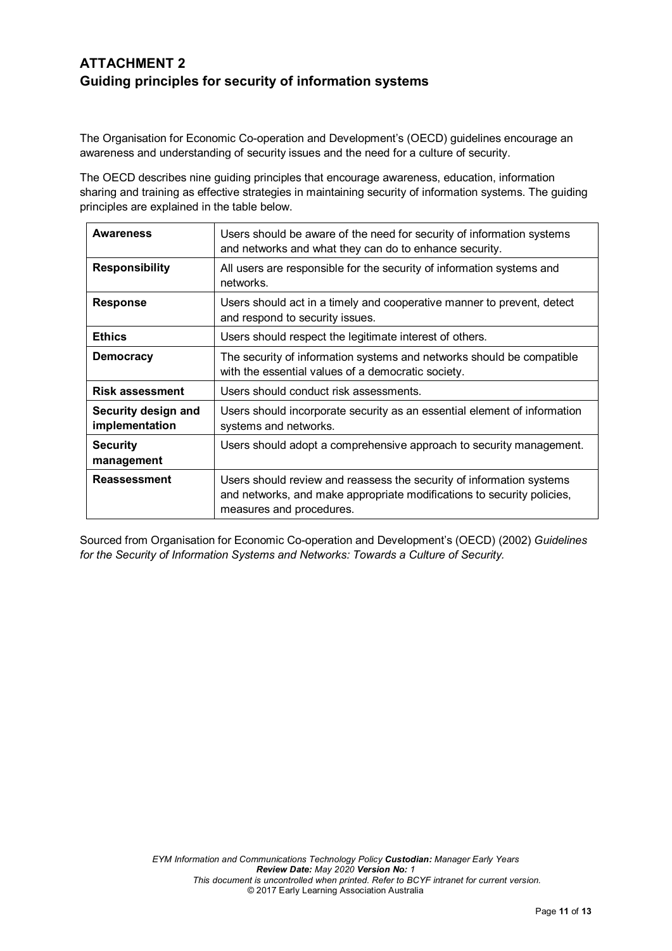# **ATTACHMENT 2 Guiding principles for security of information systems**

The Organisation for Economic Co-operation and Development's (OECD) guidelines encourage an awareness and understanding of security issues and the need for a culture of security.

The OECD describes nine guiding principles that encourage awareness, education, information sharing and training as effective strategies in maintaining security of information systems. The guiding principles are explained in the table below.

| <b>Awareness</b>                      | Users should be aware of the need for security of information systems<br>and networks and what they can do to enhance security.                                            |
|---------------------------------------|----------------------------------------------------------------------------------------------------------------------------------------------------------------------------|
| <b>Responsibility</b>                 | All users are responsible for the security of information systems and<br>networks.                                                                                         |
| <b>Response</b>                       | Users should act in a timely and cooperative manner to prevent, detect<br>and respond to security issues.                                                                  |
| <b>Ethics</b>                         | Users should respect the legitimate interest of others.                                                                                                                    |
| <b>Democracy</b>                      | The security of information systems and networks should be compatible<br>with the essential values of a democratic society.                                                |
| <b>Risk assessment</b>                | Users should conduct risk assessments.                                                                                                                                     |
| Security design and<br>implementation | Users should incorporate security as an essential element of information<br>systems and networks.                                                                          |
| <b>Security</b><br>management         | Users should adopt a comprehensive approach to security management.                                                                                                        |
| <b>Reassessment</b>                   | Users should review and reassess the security of information systems<br>and networks, and make appropriate modifications to security policies,<br>measures and procedures. |

Sourced from Organisation for Economic Co-operation and Development's (OECD) (2002) *Guidelines for the Security of Information Systems and Networks: Towards a Culture of Security.*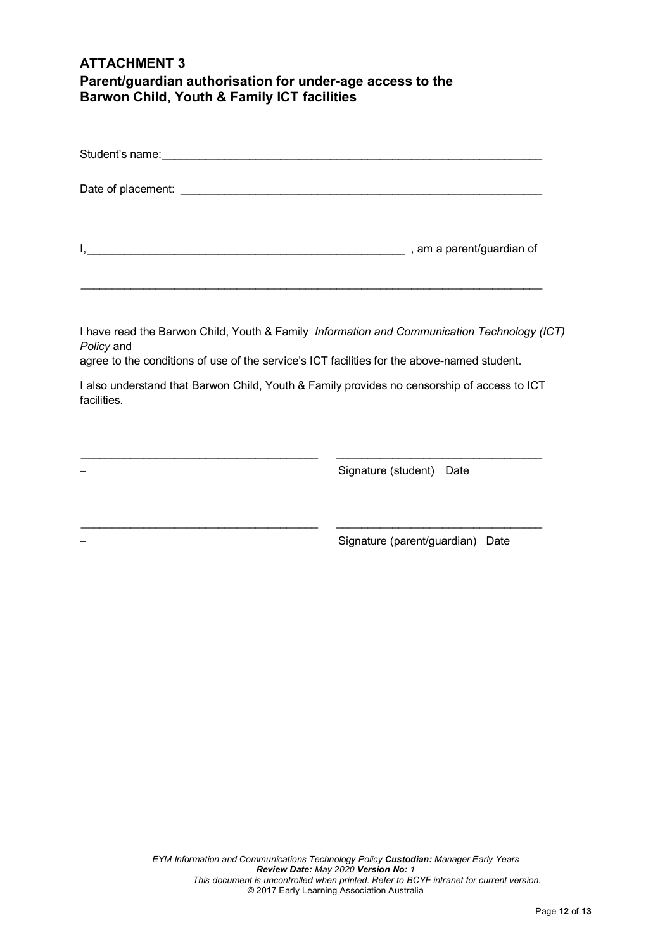# **ATTACHMENT 3 Parent/guardian authorisation for under-age access to the Barwon Child, Youth & Family ICT facilities**

| Policy and<br>agree to the conditions of use of the service's ICT facilities for the above-named student. | I have read the Barwon Child, Youth & Family Information and Communication Technology (ICT) |
|-----------------------------------------------------------------------------------------------------------|---------------------------------------------------------------------------------------------|
| facilities.                                                                                               | I also understand that Barwon Child, Youth & Family provides no censorship of access to ICT |
|                                                                                                           | Signature (student) Date                                                                    |
|                                                                                                           | Signature (parent/guardian) Date                                                            |